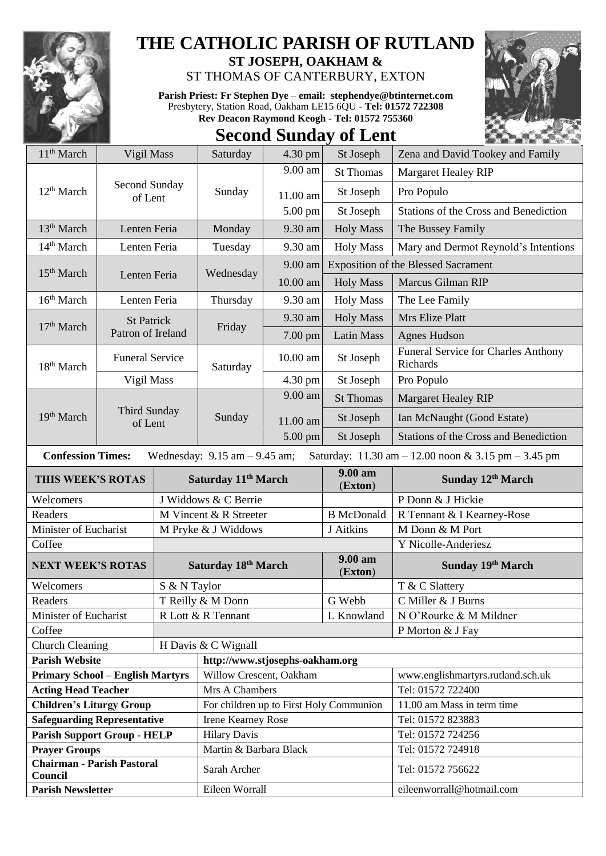

## **THE CATHOLIC PARISH OF RUTLAND**

**ST JOSEPH, OAKHAM &**  ST THOMAS OF CANTERBURY, EXTON

**Parish Priest: Fr Stephen Dye** – **[email: stephendye@btinternet.com](mailto:email:%20%20stephendye@btinternet.com)** Presbytery, Station Road, Oakham LE15 6QU - **Tel: 01572 722308 Rev Deacon Raymond Keogh - Tel: 01572 755360**



## **Second Sunday of Lent**

| 11 <sup>th</sup> March                       | Vigil Mass                                         |              | Saturday                                | 4.30 pm   | St Joseph          | Zena and David Tookey and Family                    |
|----------------------------------------------|----------------------------------------------------|--------------|-----------------------------------------|-----------|--------------------|-----------------------------------------------------|
|                                              | Second Sunday<br>12 <sup>th</sup> March<br>of Lent |              | Sunday                                  | 9.00 am   | <b>St Thomas</b>   | <b>Margaret Healey RIP</b>                          |
|                                              |                                                    |              |                                         | 11.00 am  | St Joseph          | Pro Populo                                          |
|                                              |                                                    |              |                                         | 5.00 pm   | St Joseph          | Stations of the Cross and Benediction               |
| 13 <sup>th</sup> March                       | Lenten Feria                                       |              | Monday                                  | 9.30 am   | <b>Holy Mass</b>   | The Bussey Family                                   |
| 14 <sup>th</sup> March                       | Lenten Feria                                       |              | Tuesday                                 | 9.30 am   | <b>Holy Mass</b>   | Mary and Dermot Reynold's Intentions                |
|                                              |                                                    |              |                                         | $9.00$ am |                    | <b>Exposition of the Blessed Sacrament</b>          |
|                                              | 15 <sup>th</sup> March<br>Lenten Feria             |              | Wednesday                               | 10.00 am  | <b>Holy Mass</b>   | Marcus Gilman RIP                                   |
| 16 <sup>th</sup> March                       | Lenten Feria                                       |              | Thursday                                | 9.30 am   | <b>Holy Mass</b>   | The Lee Family                                      |
|                                              | <b>St Patrick</b><br>Patron of Ireland             |              | Friday                                  | 9.30 am   | <b>Holy Mass</b>   | Mrs Elize Platt                                     |
| 17 <sup>th</sup> March                       |                                                    |              |                                         | 7.00 pm   | Latin Mass         | <b>Agnes Hudson</b>                                 |
| 18 <sup>th</sup> March                       | <b>Funeral Service</b>                             |              | Saturday                                | 10.00 am  | St Joseph          | Funeral Service for Charles Anthony<br>Richards     |
|                                              | Vigil Mass                                         |              |                                         | 4.30 pm   | St Joseph          | Pro Populo                                          |
|                                              |                                                    |              |                                         | 9.00 am   | <b>St Thomas</b>   | <b>Margaret Healey RIP</b>                          |
| 19th March                                   | <b>Third Sunday</b><br>of Lent                     |              | Sunday                                  | 11.00 am  | St Joseph          | Ian McNaught (Good Estate)                          |
|                                              |                                                    |              |                                         | 5.00 pm   | St Joseph          | Stations of the Cross and Benediction               |
| <b>Confession Times:</b>                     |                                                    |              | Wednesday: $9.15$ am $- 9.45$ am;       |           |                    | Saturday: 11.30 am - 12.00 noon & 3.15 pm - 3.45 pm |
| THIS WEEK'S ROTAS                            |                                                    |              | Saturday 11 <sup>th</sup> March         |           |                    |                                                     |
|                                              |                                                    |              |                                         |           | 9.00 am            | Sunday 12th March                                   |
| Welcomers                                    |                                                    |              | J Widdows & C Berrie                    |           | (Exton)            | P Donn & J Hickie                                   |
| Readers                                      |                                                    |              | M Vincent & R Streeter                  |           | <b>B</b> McDonald  | R Tennant & I Kearney-Rose                          |
| Minister of Eucharist                        |                                                    |              | M Pryke & J Widdows                     |           | J Aitkins          | M Donn & M Port                                     |
| Coffee                                       |                                                    |              |                                         |           |                    | Y Nicolle-Anderiesz                                 |
| <b>NEXT WEEK'S ROTAS</b>                     |                                                    |              | Saturday 18th March                     |           | 9.00 am<br>(Exton) | Sunday 19th March                                   |
| Welcomers                                    |                                                    | S & N Taylor |                                         |           |                    | T & C Slattery                                      |
| Readers                                      |                                                    |              | T Reilly & M Donn                       |           | G Webb             | C Miller & J Burns                                  |
| Minister of Eucharist                        |                                                    |              | R Lott & R Tennant                      |           | L Knowland         | N O'Rourke & M Mildner                              |
| Coffee                                       |                                                    |              |                                         |           |                    | P Morton & J Fay                                    |
| <b>Church Cleaning</b>                       |                                                    |              | H Davis & C Wignall                     |           |                    |                                                     |
| <b>Parish Website</b>                        |                                                    |              | http://www.stjosephs-oakham.org         |           |                    |                                                     |
| <b>Primary School - English Martyrs</b>      |                                                    |              | Willow Crescent, Oakham                 |           |                    | www.englishmartyrs.rutland.sch.uk                   |
| <b>Acting Head Teacher</b>                   |                                                    |              | Mrs A Chambers                          |           |                    | Tel: 01572 722400                                   |
| <b>Children's Liturgy Group</b>              |                                                    |              | For children up to First Holy Communion |           |                    | 11.00 am Mass in term time                          |
| <b>Safeguarding Representative</b>           |                                                    |              | Irene Kearney Rose                      |           |                    | Tel: 01572 823883                                   |
| <b>Parish Support Group - HELP</b>           |                                                    |              | <b>Hilary Davis</b>                     |           |                    | Tel: 01572 724256                                   |
| <b>Prayer Groups</b>                         |                                                    |              | Martin & Barbara Black                  |           |                    | Tel: 01572 724918                                   |
| <b>Chairman - Parish Pastoral</b><br>Council |                                                    |              | Sarah Archer                            |           |                    | Tel: 01572 756622                                   |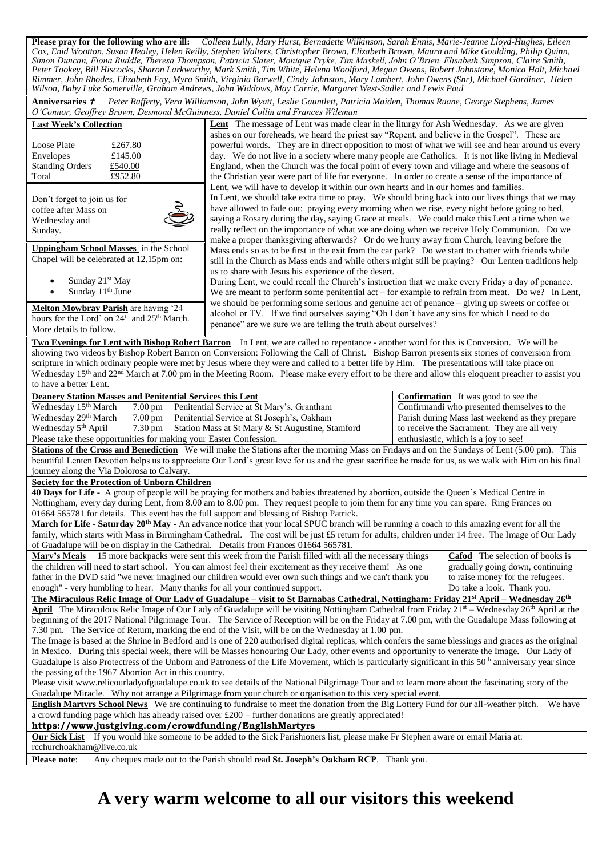**Please pray for the following who are ill:** *Colleen Lully, Mary Hurst, Bernadette Wilkinson, Sarah Ennis, Marie-Jeanne Lloyd-Hughes, Eileen Cox, Enid Wootton, Susan Healey, Helen Reilly, Stephen Walters, Christopher Brown, Elizabeth Brown, Maura and Mike Goulding, Philip Quinn, Simon Duncan, Fiona Ruddle, Theresa Thompson, Patricia Slater, Monique Pryke, Tim Maskell, John O'Brien, Elisabeth Simpson, Claire Smith, Peter Tookey, Bill Hiscocks, Sharon Larkworthy, Mark Smith, Tim White, Helena Woolford, Megan Owens, Robert Johnstone, Monica Holt, Michael Rimmer, John Rhodes, Elizabeth Fay, Myra Smith, Virginia Barwell, Cindy Johnston, Mary Lambert, John Owens (Snr), Michael Gardiner, Helen Wilson, Baby Luke Somerville, Graham Andrews, John Widdows, May Carrie, Margaret West-Sadler and Lewis Paul*

Anniversaries *†* Peter Rafferty, Vera Williamson, John Wyatt, Leslie Gauntlett, Patricia Maiden, Thomas Ruane, George Stephens, James *O'Connor, Geoffrey Brown, Desmond McGuinness, Daniel Collin and Frances Wileman*

| O'Connor, Geoffrey Brown, Desmond McGuinness, Daniel Collin and Frances Wileman                                                                                        |                                                                                                                                                                           |                                                                                                      |  |  |  |  |  |
|------------------------------------------------------------------------------------------------------------------------------------------------------------------------|---------------------------------------------------------------------------------------------------------------------------------------------------------------------------|------------------------------------------------------------------------------------------------------|--|--|--|--|--|
| <b>Last Week's Collection</b>                                                                                                                                          | Lent The message of Lent was made clear in the liturgy for Ash Wednesday. As we are given                                                                                 |                                                                                                      |  |  |  |  |  |
|                                                                                                                                                                        | ashes on our foreheads, we heard the priest say "Repent, and believe in the Gospel". These are                                                                            |                                                                                                      |  |  |  |  |  |
| Loose Plate<br>£267.80                                                                                                                                                 |                                                                                                                                                                           | powerful words. They are in direct opposition to most of what we will see and hear around us every   |  |  |  |  |  |
| Envelopes<br>£145.00                                                                                                                                                   | day. We do not live in a society where many people are Catholics. It is not like living in Medieval                                                                       |                                                                                                      |  |  |  |  |  |
| <b>Standing Orders</b><br>£540.00                                                                                                                                      | England, when the Church was the focal point of every town and village and where the seasons of                                                                           |                                                                                                      |  |  |  |  |  |
| £952.80<br>Total                                                                                                                                                       | the Christian year were part of life for everyone. In order to create a sense of the importance of                                                                        |                                                                                                      |  |  |  |  |  |
|                                                                                                                                                                        | Lent, we will have to develop it within our own hearts and in our homes and families.                                                                                     |                                                                                                      |  |  |  |  |  |
| Don't forget to join us for                                                                                                                                            |                                                                                                                                                                           | In Lent, we should take extra time to pray. We should bring back into our lives things that we may   |  |  |  |  |  |
| coffee after Mass on                                                                                                                                                   | have allowed to fade out: praying every morning when we rise, every night before going to bed,                                                                            |                                                                                                      |  |  |  |  |  |
| Wednesday and                                                                                                                                                          | saying a Rosary during the day, saying Grace at meals. We could make this Lent a time when we                                                                             |                                                                                                      |  |  |  |  |  |
| Sunday.                                                                                                                                                                | really reflect on the importance of what we are doing when we receive Holy Communion. Do we                                                                               |                                                                                                      |  |  |  |  |  |
|                                                                                                                                                                        | make a proper thanksgiving afterwards? Or do we hurry away from Church, leaving before the                                                                                |                                                                                                      |  |  |  |  |  |
| <b>Uppingham School Masses</b> in the School                                                                                                                           | Mass ends so as to be first in the exit from the car park? Do we start to chatter with friends while                                                                      |                                                                                                      |  |  |  |  |  |
| Chapel will be celebrated at 12.15pm on:                                                                                                                               |                                                                                                                                                                           | still in the Church as Mass ends and while others might still be praying? Our Lenten traditions help |  |  |  |  |  |
|                                                                                                                                                                        | us to share with Jesus his experience of the desert.                                                                                                                      |                                                                                                      |  |  |  |  |  |
| Sunday 21 <sup>st</sup> May                                                                                                                                            | During Lent, we could recall the Church's instruction that we make every Friday a day of penance.                                                                         |                                                                                                      |  |  |  |  |  |
| Sunday 11 <sup>th</sup> June<br>$\bullet$                                                                                                                              |                                                                                                                                                                           | We are meant to perform some penitential act – for example to refrain from meat. Do we? In Lent,     |  |  |  |  |  |
|                                                                                                                                                                        | we should be performing some serious and genuine act of penance – giving up sweets or coffee or                                                                           |                                                                                                      |  |  |  |  |  |
| Melton Mowbray Parish are having '24                                                                                                                                   | alcohol or TV. If we find ourselves saying "Oh I don't have any sins for which I need to do                                                                               |                                                                                                      |  |  |  |  |  |
| hours for the Lord' on 24 <sup>th</sup> and 25 <sup>th</sup> March.                                                                                                    | penance" are we sure we are telling the truth about ourselves?                                                                                                            |                                                                                                      |  |  |  |  |  |
| More details to follow.                                                                                                                                                |                                                                                                                                                                           |                                                                                                      |  |  |  |  |  |
|                                                                                                                                                                        | Two Evenings for Lent with Bishop Robert Barron In Lent, we are called to repentance - another word for this is Conversion. We will be                                    |                                                                                                      |  |  |  |  |  |
|                                                                                                                                                                        | showing two videos by Bishop Robert Barron on Conversion: Following the Call of Christ. Bishop Barron presents six stories of conversion from                             |                                                                                                      |  |  |  |  |  |
|                                                                                                                                                                        | scripture in which ordinary people were met by Jesus where they were and called to a better life by Him. The presentations will take place on                             |                                                                                                      |  |  |  |  |  |
|                                                                                                                                                                        | Wednesday 15 <sup>th</sup> and 22 <sup>nd</sup> March at 7.00 pm in the Meeting Room. Please make every effort to be there and allow this eloquent preacher to assist you |                                                                                                      |  |  |  |  |  |
| to have a better Lent.                                                                                                                                                 |                                                                                                                                                                           |                                                                                                      |  |  |  |  |  |
| <b>Deanery Station Masses and Penitential Services this Lent</b>                                                                                                       |                                                                                                                                                                           | <b>Confirmation</b> It was good to see the                                                           |  |  |  |  |  |
| Wednesday 15 <sup>th</sup> March<br>$\overline{7.00}$ pm                                                                                                               | Penitential Service at St Mary's, Grantham                                                                                                                                | Confirmandi who presented themselves to the                                                          |  |  |  |  |  |
| Wednesday 29th March<br>$7.00 \text{ pm}$                                                                                                                              | Penitential Service at St Joseph's, Oakham                                                                                                                                | Parish during Mass last weekend as they prepare                                                      |  |  |  |  |  |
| Wednesday 5 <sup>th</sup> April<br>7.30 pm                                                                                                                             | Station Mass at St Mary & St Augustine, Stamford                                                                                                                          | to receive the Sacrament. They are all very                                                          |  |  |  |  |  |
| Please take these opportunities for making your Easter Confession.                                                                                                     |                                                                                                                                                                           | enthusiastic, which is a joy to see!                                                                 |  |  |  |  |  |
|                                                                                                                                                                        | Stations of the Cross and Benediction We will make the Stations after the morning Mass on Fridays and on the Sundays of Lent (5.00 pm). This                              |                                                                                                      |  |  |  |  |  |
|                                                                                                                                                                        | beautiful Lenten Devotion helps us to appreciate Our Lord's great love for us and the great sacrifice he made for us, as we walk with Him on his final                    |                                                                                                      |  |  |  |  |  |
| journey along the Via Dolorosa to Calvary.                                                                                                                             |                                                                                                                                                                           |                                                                                                      |  |  |  |  |  |
|                                                                                                                                                                        |                                                                                                                                                                           |                                                                                                      |  |  |  |  |  |
| Society for the Protection of Unborn Children                                                                                                                          | 40 Days for Life - A group of people will be praying for mothers and babies threatened by abortion, outside the Queen's Medical Centre in                                 |                                                                                                      |  |  |  |  |  |
|                                                                                                                                                                        | Nottingham, every day during Lent, from 8.00 am to 8.00 pm. They request people to join them for any time you can spare. Ring Frances on                                  |                                                                                                      |  |  |  |  |  |
| 01664 565781 for details. This event has the full support and blessing of Bishop Patrick.                                                                              |                                                                                                                                                                           |                                                                                                      |  |  |  |  |  |
|                                                                                                                                                                        |                                                                                                                                                                           |                                                                                                      |  |  |  |  |  |
|                                                                                                                                                                        | March for Life - Saturday 20 <sup>th</sup> May - An advance notice that your local SPUC branch will be running a coach to this amazing event for all the                  |                                                                                                      |  |  |  |  |  |
|                                                                                                                                                                        | family, which starts with Mass in Birmingham Cathedral. The cost will be just £5 return for adults, children under 14 free. The Image of Our Lady                         |                                                                                                      |  |  |  |  |  |
| of Guadalupe will be on display in the Cathedral. Details from Frances 01664 565781.                                                                                   |                                                                                                                                                                           |                                                                                                      |  |  |  |  |  |
|                                                                                                                                                                        | Mary's Meals 15 more backpacks were sent this week from the Parish filled with all the necessary things                                                                   | <b>Cafod</b> The selection of books is                                                               |  |  |  |  |  |
|                                                                                                                                                                        | the children will need to start school. You can almost feel their excitement as they receive them! As one                                                                 | gradually going down, continuing                                                                     |  |  |  |  |  |
|                                                                                                                                                                        | father in the DVD said "we never imagined our children would ever own such things and we can't thank you                                                                  | to raise money for the refugees.                                                                     |  |  |  |  |  |
| enough" - very humbling to hear. Many thanks for all your continued support.                                                                                           |                                                                                                                                                                           | Do take a look. Thank you.                                                                           |  |  |  |  |  |
| The Miraculous Relic Image of Our Lady of Guadalupe – visit to St Barnabas Cathedral, Nottingham: Friday 21 <sup>st</sup> April – Wednesday 26 <sup>th</sup>           |                                                                                                                                                                           |                                                                                                      |  |  |  |  |  |
| April The Miraculous Relic Image of Our Lady of Guadalupe will be visiting Nottingham Cathedral from Friday 21 <sup>st</sup> – Wednesday 26 <sup>th</sup> April at the |                                                                                                                                                                           |                                                                                                      |  |  |  |  |  |
| beginning of the 2017 National Pilgrimage Tour. The Service of Reception will be on the Friday at 7.00 pm, with the Guadalupe Mass following at                        |                                                                                                                                                                           |                                                                                                      |  |  |  |  |  |
| 7.30 pm. The Service of Return, marking the end of the Visit, will be on the Wednesday at 1.00 pm.                                                                     |                                                                                                                                                                           |                                                                                                      |  |  |  |  |  |
| The Image is based at the Shrine in Bedford and is one of 220 authorised digital replicas, which confers the same blessings and graces as the original                 |                                                                                                                                                                           |                                                                                                      |  |  |  |  |  |
| in Mexico. During this special week, there will be Masses honouring Our Lady, other events and opportunity to venerate the Image. Our Lady of                          |                                                                                                                                                                           |                                                                                                      |  |  |  |  |  |
| Guadalupe is also Protectress of the Unborn and Patroness of the Life Movement, which is particularly significant in this 50 <sup>th</sup> anniversary year since      |                                                                                                                                                                           |                                                                                                      |  |  |  |  |  |
| the passing of the 1967 Abortion Act in this country.                                                                                                                  |                                                                                                                                                                           |                                                                                                      |  |  |  |  |  |
| Please visit www.relicourladyofguadalupe.co.uk to see details of the National Pilgrimage Tour and to learn more about the fascinating story of the                     |                                                                                                                                                                           |                                                                                                      |  |  |  |  |  |
| Guadalupe Miracle. Why not arrange a Pilgrimage from your church or organisation to this very special event.                                                           |                                                                                                                                                                           |                                                                                                      |  |  |  |  |  |
| English Martyrs School News We are continuing to fundraise to meet the donation from the Big Lottery Fund for our all-weather pitch. We have                           |                                                                                                                                                                           |                                                                                                      |  |  |  |  |  |
|                                                                                                                                                                        | a crowd funding page which has already raised over $£200 -$ further donations are greatly appreciated!                                                                    |                                                                                                      |  |  |  |  |  |
| https://www.justgiving.com/crowdfunding/EnglishMartyrs                                                                                                                 |                                                                                                                                                                           |                                                                                                      |  |  |  |  |  |
| Our Sick List If you would like someone to be added to the Sick Parishioners list, please make Fr Stephen aware or email Maria at:                                     |                                                                                                                                                                           |                                                                                                      |  |  |  |  |  |
|                                                                                                                                                                        |                                                                                                                                                                           |                                                                                                      |  |  |  |  |  |
|                                                                                                                                                                        |                                                                                                                                                                           |                                                                                                      |  |  |  |  |  |
| rcchurchoakham@live.co.uk<br>Please note:                                                                                                                              | Any cheques made out to the Parish should read St. Joseph's Oakham RCP. Thank you.                                                                                        |                                                                                                      |  |  |  |  |  |

**A very warm welcome to all our visitors this weekend**